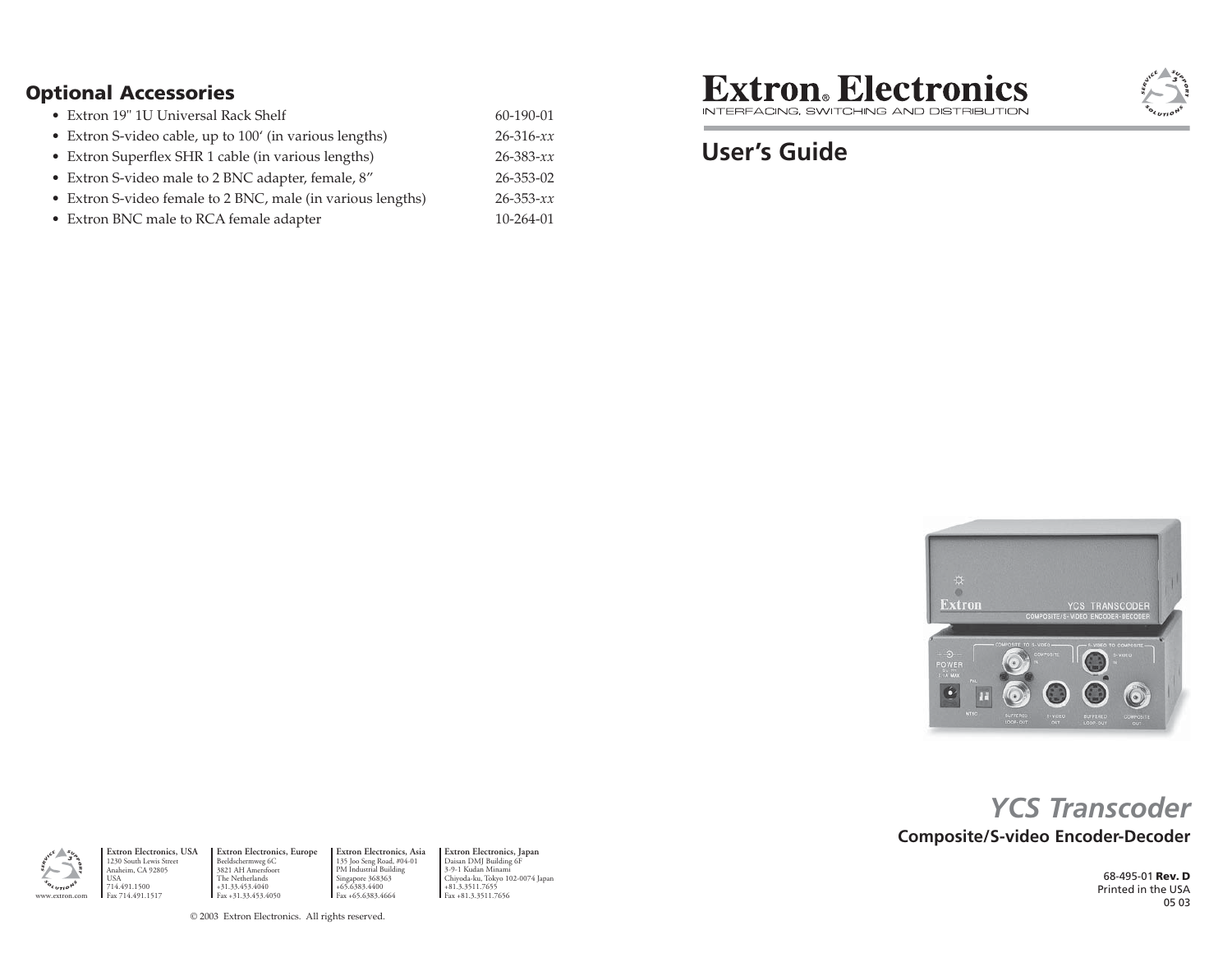#### **Optional Accessories**

| • Extron 19" 1U Universal Rack Shelf                        | 60-190-01       |
|-------------------------------------------------------------|-----------------|
| • Extron S-video cable, up to $100'$ (in various lengths)   | $26 - 316 - xx$ |
| • Extron Superflex SHR 1 cable (in various lengths)         | $26 - 383 - xx$ |
| • Extron S-video male to 2 BNC adapter, female, 8"          | 26-353-02       |
| • Extron S-video female to 2 BNC, male (in various lengths) | $26 - 353 - xx$ |

• Extron BNC male to RCA female adapter  $10$ -264-01

**Extron**. Electronics INTERFACING, SWITCHING AND DISTRIBUTION

# **User's Guide**



# **Composite/S-video Encoder-Decoder** *YCS Transcoder*

68-495-01 **Rev. D** Printed in the USA05 03

Anaheim, CA 92805 USA 714.491.1500 Fax 714.491.1517

**Extron Electronics, USA** 1230 South Lewis Street

www.extron.com

≻

**Extron Electronics, Europe** Beeldschermweg 6C 3821 AH Amersfoort The Netherlands +31.33.453.4040 m **I** Fax +31.3.3511.7656 **Fax** +81.3.3511.7656 **Fax** +85.6383.4664 **Fax** +81.3.3511.7656 **Extron Electronics, Asia** 135 Joo Seng Road, #04-01 PM Industrial Building Singapore 368363 +65.6383.4400 Fax +65.6383.4664

**Extron Electronics, Japan** Daisan DMJ Building 6F 3-9-1 Kudan Minami Chiyoda-ku, Tokyo 102-0074 Japan +81.3.3511.7655

© 2003 Extron Electronics. All rights reserved.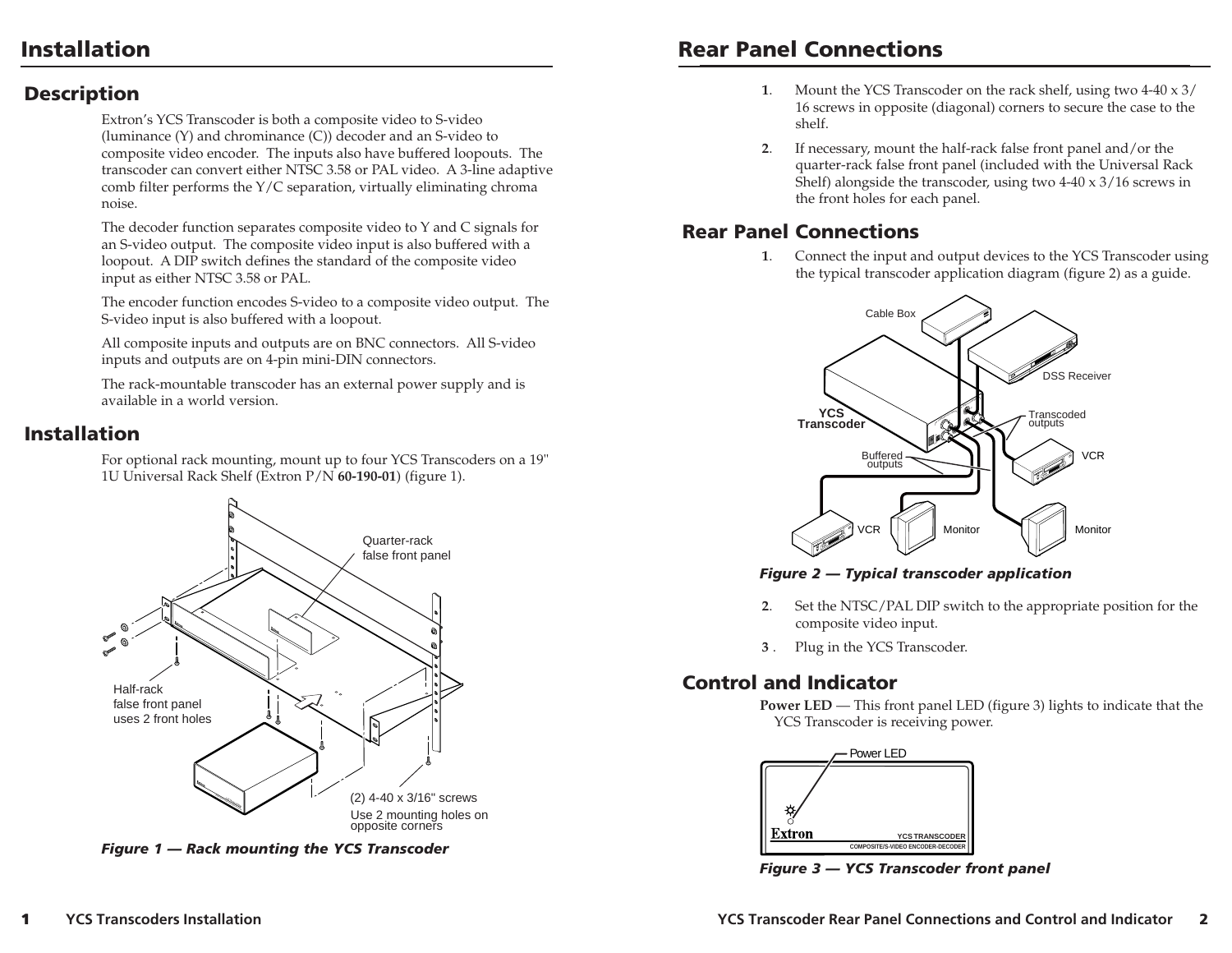### **Installation**

## **Rear Panel Connections**

#### **Description**

Extron's YCS Transcoder is both a composite video to S-video (luminance (Y) and chrominance (C)) decoder and an S-video to composite video encoder. The inputs also have buffered loopouts. The transcoder can convert either NTSC 3.58 or PAL video. A 3-line adaptive comb filter performs the Y/C separation, virtually eliminating chroma noise.

The decoder function separates composite video to Y and C signals for an S-video output. The composite video input is also buffered with a loopout. A DIP switch defines the standard of the composite video input as either NTSC 3.58 or PAL.

The encoder function encodes S-video to a composite video output. The S-video input is also buffered with a loopout.

All composite inputs and outputs are on BNC connectors. All S-video inputs and outputs are on 4-pin mini-DIN connectors.

The rack-mountable transcoder has an external power supply and is available in a world version.

### **Installation**

For optional rack mounting, mount up to four YCS Transcoders on a 19" 1U Universal Rack Shelf (Extron P/N **60-190-01**) (figure 1).



*Figure 1 — Rack mounting the YCS Transcoder*

- **<sup>1</sup>**. Mount the YCS Transcoder on the rack shelf, using two 4-40 x 3/ 16 screws in opposite (diagonal) corners to secure the case to the shelf.
- **<sup>2</sup>**. If necessary, mount the half-rack false front panel and/or the quarter-rack false front panel (included with the Universal Rack Shelf) alongside the transcoder, using two 4-40 x 3/16 screws in the front holes for each panel.

## **Rear Panel Connections**

**<sup>1</sup>**. Connect the input and output devices to the YCS Transcoder using the typical transcoder application diagram (figure 2) as a guide.



*Figure 2 — Typical transcoder application*

- **<sup>2</sup>**. Set the NTSC/PAL DIP switch to the appropriate position for the composite video input.
- **<sup>3</sup>**. Plug in the YCS Transcoder.

### **Control and Indicator**

**Power LED** — This front panel LED (figure 3) lights to indicate that the YCS Transcoder is receiving power.



*Figure 3 — YCS Transcoder front panel*